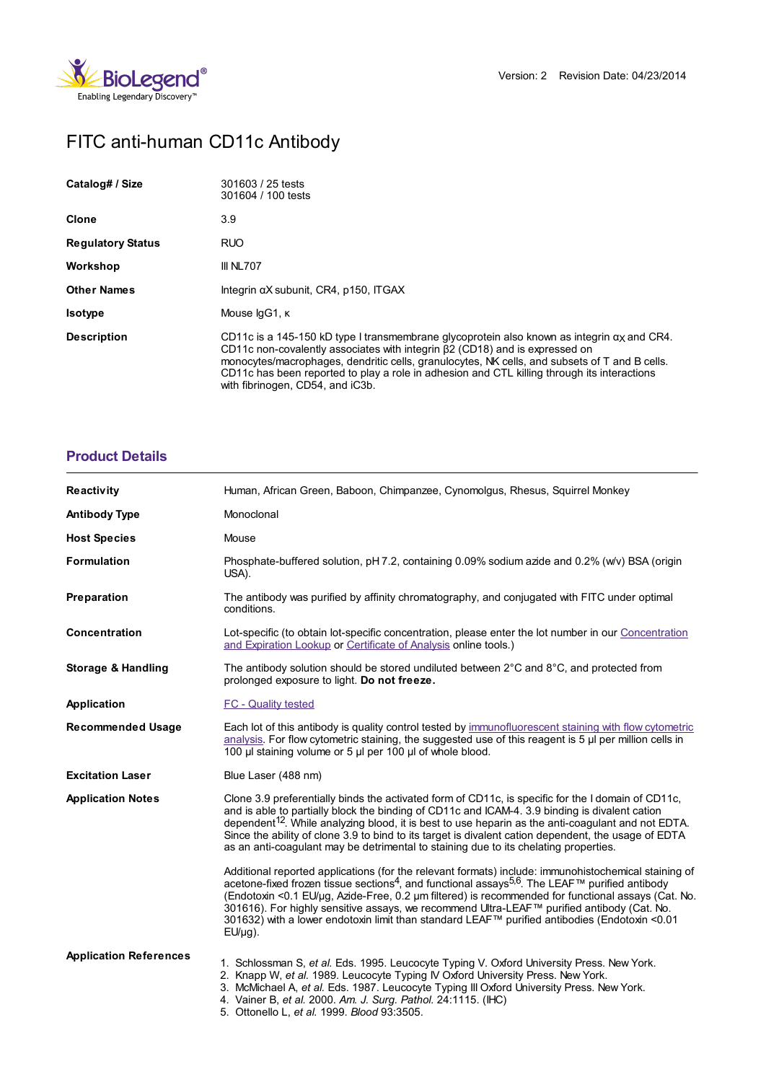

# FITC anti-human CD11c Antibody

| Catalog# / Size          | 301603 / 25 tests<br>301604 / 100 tests                                                                                                                                                                                                                                                                                                                                                                                    |
|--------------------------|----------------------------------------------------------------------------------------------------------------------------------------------------------------------------------------------------------------------------------------------------------------------------------------------------------------------------------------------------------------------------------------------------------------------------|
| Clone                    | 3.9                                                                                                                                                                                                                                                                                                                                                                                                                        |
| <b>Regulatory Status</b> | <b>RUO</b>                                                                                                                                                                                                                                                                                                                                                                                                                 |
| Workshop                 | III NL707                                                                                                                                                                                                                                                                                                                                                                                                                  |
| <b>Other Names</b>       | Integrin aX subunit, CR4, p150, ITGAX                                                                                                                                                                                                                                                                                                                                                                                      |
| <b>Isotype</b>           | Mouse IgG1, K                                                                                                                                                                                                                                                                                                                                                                                                              |
| <b>Description</b>       | CD11c is a 145-150 kD type I transmembrane glycoprotein also known as integrin $\alpha$ and CR4.<br>CD11c non-covalently associates with integrin $\beta$ 2 (CD18) and is expressed on<br>monocytes/macrophages, dendritic cells, granulocytes, NK cells, and subsets of T and B cells.<br>CD11c has been reported to play a role in adhesion and CTL killing through its interactions<br>with fibrinogen, CD54, and iC3b. |

## **[Product](https://www.biolegend.com/nl-be/products/fitc-anti-human-cd11c-antibody-562?pdf=true&displayInline=true&leftRightMargin=15&topBottomMargin=15&filename=FITC anti-human CD11c Antibody.pdf#productDetails) Details**

| <b>Reactivity</b>             | Human, African Green, Baboon, Chimpanzee, Cynomolgus, Rhesus, Squirrel Monkey                                                                                                                                                                                                                                                                                                                                                                                                                                                                        |
|-------------------------------|------------------------------------------------------------------------------------------------------------------------------------------------------------------------------------------------------------------------------------------------------------------------------------------------------------------------------------------------------------------------------------------------------------------------------------------------------------------------------------------------------------------------------------------------------|
| <b>Antibody Type</b>          | Monoclonal                                                                                                                                                                                                                                                                                                                                                                                                                                                                                                                                           |
| <b>Host Species</b>           | Mouse                                                                                                                                                                                                                                                                                                                                                                                                                                                                                                                                                |
| <b>Formulation</b>            | Phosphate-buffered solution, pH 7.2, containing 0.09% sodium azide and 0.2% (w/v) BSA (origin<br>USA).                                                                                                                                                                                                                                                                                                                                                                                                                                               |
| Preparation                   | The antibody was purified by affinity chromatography, and conjugated with FITC under optimal<br>conditions.                                                                                                                                                                                                                                                                                                                                                                                                                                          |
| Concentration                 | Lot-specific (to obtain lot-specific concentration, please enter the lot number in our Concentration<br>and Expiration Lookup or Certificate of Analysis online tools.)                                                                                                                                                                                                                                                                                                                                                                              |
| <b>Storage &amp; Handling</b> | The antibody solution should be stored undiluted between $2^{\circ}$ C and $8^{\circ}$ C, and protected from<br>prolonged exposure to light. Do not freeze.                                                                                                                                                                                                                                                                                                                                                                                          |
| Application                   | FC - Quality tested                                                                                                                                                                                                                                                                                                                                                                                                                                                                                                                                  |
| <b>Recommended Usage</b>      | Each lot of this antibody is quality control tested by immunofluorescent staining with flow cytometric<br>analysis. For flow cytometric staining, the suggested use of this reagent is 5 µl per million cells in<br>100 µl staining volume or 5 µl per 100 µl of whole blood.                                                                                                                                                                                                                                                                        |
| <b>Excitation Laser</b>       | Blue Laser (488 nm)                                                                                                                                                                                                                                                                                                                                                                                                                                                                                                                                  |
| <b>Application Notes</b>      | Clone 3.9 preferentially binds the activated form of CD11c, is specific for the I domain of CD11c,<br>and is able to partially block the binding of CD11c and ICAM-4. 3.9 binding is divalent cation<br>dependent <sup>12</sup> . While analyzing blood, it is best to use heparin as the anti-coagulant and not EDTA.<br>Since the ability of clone 3.9 to bind to its target is divalent cation dependent, the usage of EDTA<br>as an anti-coagulant may be detrimental to staining due to its chelating properties.                               |
|                               | Additional reported applications (for the relevant formats) include: immunohistochemical staining of<br>acetone-fixed frozen tissue sections <sup>4</sup> , and functional assays <sup>5,6</sup> . The LEAF™ purified antibody<br>(Endotoxin <0.1 EU/µg, Azide-Free, 0.2 µm filtered) is recommended for functional assays (Cat. No.<br>301616). For highly sensitive assays, we recommend Ultra-LEAF™ purified antibody (Cat. No.<br>301632) with a lower endotoxin limit than standard LEAF™ purified antibodies (Endotoxin <0.01<br>$EU/\mu q$ ). |
| <b>Application References</b> | 1. Schlossman S, et al. Eds. 1995. Leucocyte Typing V. Oxford University Press. New York.<br>2. Knapp W, et al. 1989. Leucocyte Typing IV Oxford University Press. New York.<br>3. McMichael A, et al. Eds. 1987. Leucocyte Typing III Oxford University Press. New York.<br>4. Vainer B, et al. 2000. Am. J. Surg. Pathol. 24:1115. (IHC)<br>5. Ottonello L, et al. 1999. Blood 93:3505.                                                                                                                                                            |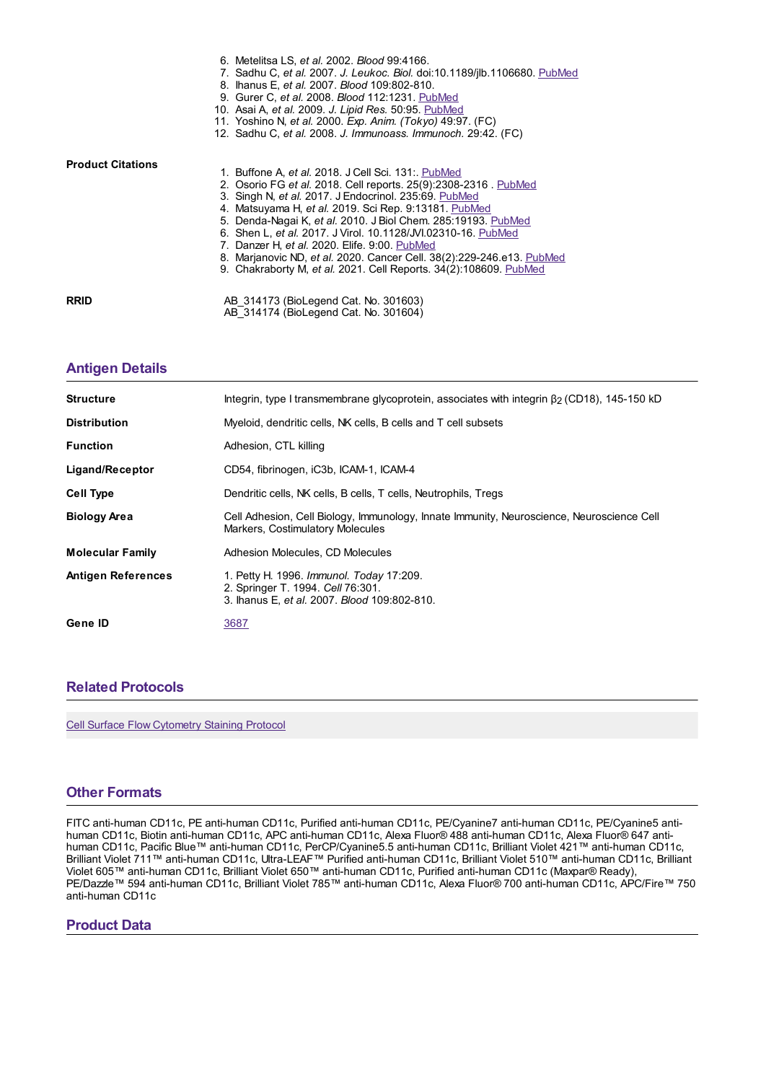|                          | 6. Metelitsa LS, et al. 2002. Blood 99:4166.<br>7. Sadhu C, et al. 2007. J. Leukoc. Biol. doi:10.1189/jlb.1106680. PubMed<br>8. Ihanus E, et al. 2007. Blood 109:802-810.<br>9. Gurer C, et al. 2008. Blood 112:1231. PubMed<br>10. Asai A, et al. 2009. J. Lipid Res. 50:95. PubMed<br>11. Yoshino N, et al. 2000. Exp. Anim. (Tokyo) 49:97. (FC)                                                                                                                                                                                                                       |
|--------------------------|--------------------------------------------------------------------------------------------------------------------------------------------------------------------------------------------------------------------------------------------------------------------------------------------------------------------------------------------------------------------------------------------------------------------------------------------------------------------------------------------------------------------------------------------------------------------------|
|                          | 12. Sadhu C, et al. 2008. J. Immunoass. Immunoch. 29:42. (FC)                                                                                                                                                                                                                                                                                                                                                                                                                                                                                                            |
| <b>Product Citations</b> | 1. Buffone A, et al. 2018. J Cell Sci. 131: PubMed<br>2. Osorio FG et al. 2018. Cell reports. 25(9):2308-2316. PubMed<br>3. Singh N, et al. 2017. J Endocrinol. 235:69. PubMed<br>4. Matsuyama H, et al. 2019. Sci Rep. 9:13181. PubMed<br>5. Denda-Nagai K, et al. 2010. J Biol Chem. 285:19193. PubMed<br>6. Shen L, et al. 2017. J Virol. 10.1128/JVI.02310-16. PubMed<br>7. Danzer H, et al. 2020. Elife. 9:00. PubMed<br>8. Marjanovic ND, et al. 2020. Cancer Cell. 38(2):229-246.e13. PubMed<br>9. Chakraborty M, et al. 2021. Cell Reports. 34(2):108609. PubMed |
| <b>RRID</b>              | AB 314173 (BioLegend Cat. No. 301603)<br>AB 314174 (BioLegend Cat. No. 301604)                                                                                                                                                                                                                                                                                                                                                                                                                                                                                           |

## **[Antigen](https://www.biolegend.com/nl-be/products/fitc-anti-human-cd11c-antibody-562?pdf=true&displayInline=true&leftRightMargin=15&topBottomMargin=15&filename=FITC anti-human CD11c Antibody.pdf#antigenDetails) Details**

| <b>Structure</b>          | Integrin, type I transmembrane glycoprotein, associates with integrin $\beta$ (CD18), 145-150 kD                              |
|---------------------------|-------------------------------------------------------------------------------------------------------------------------------|
| <b>Distribution</b>       | Myeloid, dendritic cells, NK cells, B cells and T cell subsets                                                                |
| <b>Function</b>           | Adhesion, CTL killing                                                                                                         |
| Ligand/Receptor           | CD54, fibrinogen, iC3b, ICAM-1, ICAM-4                                                                                        |
| <b>Cell Type</b>          | Dendritic cells, NK cells, B cells, T cells, Neutrophils, Tregs                                                               |
| <b>Biology Area</b>       | Cell Adhesion, Cell Biology, Immunology, Innate Immunity, Neuroscience, Neuroscience Cell<br>Markers, Costimulatory Molecules |
| <b>Molecular Family</b>   | Adhesion Molecules, CD Molecules                                                                                              |
| <b>Antigen References</b> | 1. Petty H. 1996. Immunol. Today 17:209.<br>2. Springer T. 1994. Cell 76:301.<br>3. Ihanus E. et al. 2007. Blood 109:802-810. |
| Gene ID                   | 3687                                                                                                                          |

## **Related [Protocols](https://www.biolegend.com/nl-be/products/fitc-anti-human-cd11c-antibody-562?pdf=true&displayInline=true&leftRightMargin=15&topBottomMargin=15&filename=FITC anti-human CD11c Antibody.pdf#productRelatedProtocols)**

Cell Surface Flow [Cytometry](https://www.biolegend.com/protocols/cell-surface-flow-cytometry-staining-protocol/4283/) Staining Protocol

### **Other [Formats](https://www.biolegend.com/nl-be/products/fitc-anti-human-cd11c-antibody-562?pdf=true&displayInline=true&leftRightMargin=15&topBottomMargin=15&filename=FITC anti-human CD11c Antibody.pdf#productOtherFormats)**

FITC anti-human CD11c, PE anti-human CD11c, Purified anti-human CD11c, PE/Cyanine7 anti-human CD11c, PE/Cyanine5 antihuman CD11c, Biotin anti-human CD11c, APC anti-human CD11c, Alexa Fluor® 488 anti-human CD11c, Alexa Fluor® 647 antihuman CD11c, Pacific Blue™ anti-human CD11c, PerCP/Cyanine5.5 anti-human CD11c, Brilliant Violet 421™ anti-human CD11c, Brilliant Violet 711™ anti-human CD11c, Ultra-LEAF™ Purified anti-human CD11c, Brilliant Violet 510™ anti-human CD11c, Brilliant Violet 605™ anti-human CD11c, Brilliant Violet 650™ anti-human CD11c, Purified anti-human CD11c (Maxpar® Ready), PE/Dazzle™ 594 anti-human CD11c, Brilliant Violet 785™ anti-human CD11c, Alexa Fluor® 700 anti-human CD11c, APC/Fire™ 750 anti-human CD11c

#### **Product Data**